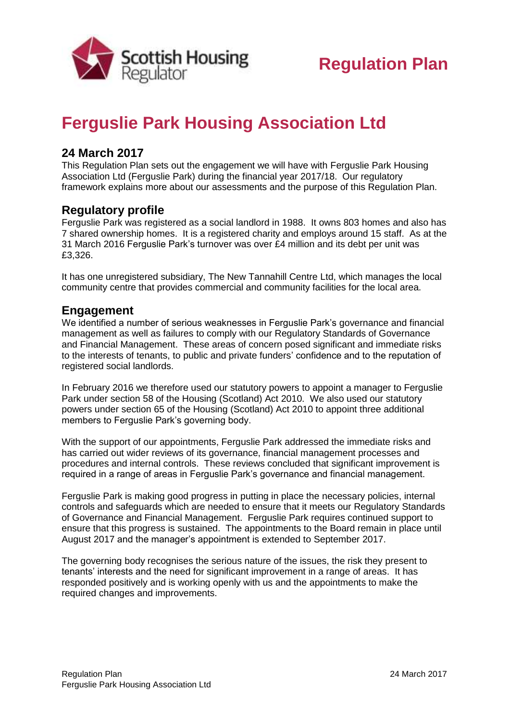

# **Ferguslie Park Housing Association Ltd**

### **24 March 2017**

This Regulation Plan sets out the engagement we will have with Ferguslie Park Housing Association Ltd (Ferguslie Park) during the financial year 2017/18. Our regulatory framework explains more about our assessments and the purpose of this Regulation Plan.

#### **Regulatory profile**

Ferguslie Park was registered as a social landlord in 1988. It owns 803 homes and also has 7 shared ownership homes. It is a registered charity and employs around 15 staff. As at the 31 March 2016 Ferguslie Park's turnover was over £4 million and its debt per unit was £3,326.

It has one unregistered subsidiary, The New Tannahill Centre Ltd, which manages the local community centre that provides commercial and community facilities for the local area.

#### **Engagement**

We identified a number of serious weaknesses in Ferguslie Park's governance and financial management as well as failures to comply with our Regulatory Standards of Governance and Financial Management. These areas of concern posed significant and immediate risks to the interests of tenants, to public and private funders' confidence and to the reputation of registered social landlords.

In February 2016 we therefore used our statutory powers to appoint a manager to Ferguslie Park under section 58 of the Housing (Scotland) Act 2010. We also used our statutory powers under section 65 of the Housing (Scotland) Act 2010 to appoint three additional members to Ferguslie Park's governing body.

With the support of our appointments, Ferguslie Park addressed the immediate risks and has carried out wider reviews of its governance, financial management processes and procedures and internal controls. These reviews concluded that significant improvement is required in a range of areas in Ferguslie Park's governance and financial management.

Ferguslie Park is making good progress in putting in place the necessary policies, internal controls and safeguards which are needed to ensure that it meets our Regulatory Standards of Governance and Financial Management. Ferguslie Park requires continued support to ensure that this progress is sustained. The appointments to the Board remain in place until August 2017 and the manager's appointment is extended to September 2017.

The governing body recognises the serious nature of the issues, the risk they present to tenants' interests and the need for significant improvement in a range of areas. It has responded positively and is working openly with us and the appointments to make the required changes and improvements.